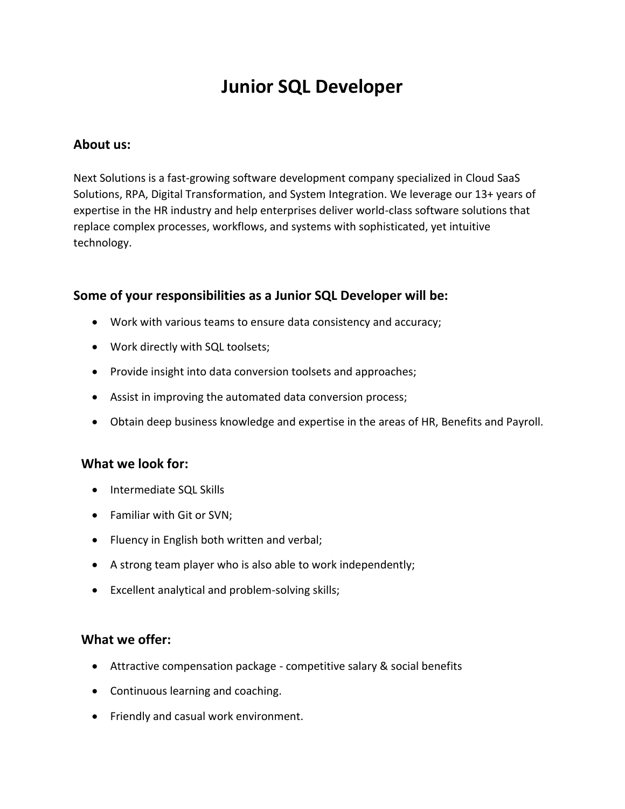# **Junior SQL Developer**

#### **About us:**

Next Solutions is a fast-growing software development company specialized in Cloud SaaS Solutions, RPA, Digital Transformation, and System Integration. We leverage our 13+ years of expertise in the HR industry and help enterprises deliver world-class software solutions that replace complex processes, workflows, and systems with sophisticated, yet intuitive technology.

#### **Some of your responsibilities as a Junior SQL Developer will be:**

- Work with various teams to ensure data consistency and accuracy;
- Work directly with SQL toolsets;
- Provide insight into data conversion toolsets and approaches;
- Assist in improving the automated data conversion process;
- Obtain deep business knowledge and expertise in the areas of HR, Benefits and Payroll.

#### **What we look for:**

- Intermediate SQL Skills
- Familiar with Git or SVN;
- Fluency in English both written and verbal;
- A strong team player who is also able to work independently;
- Excellent analytical and problem-solving skills;

### **What we offer:**

- Attractive compensation package competitive salary & social benefits
- Continuous learning and coaching.
- Friendly and casual work environment.